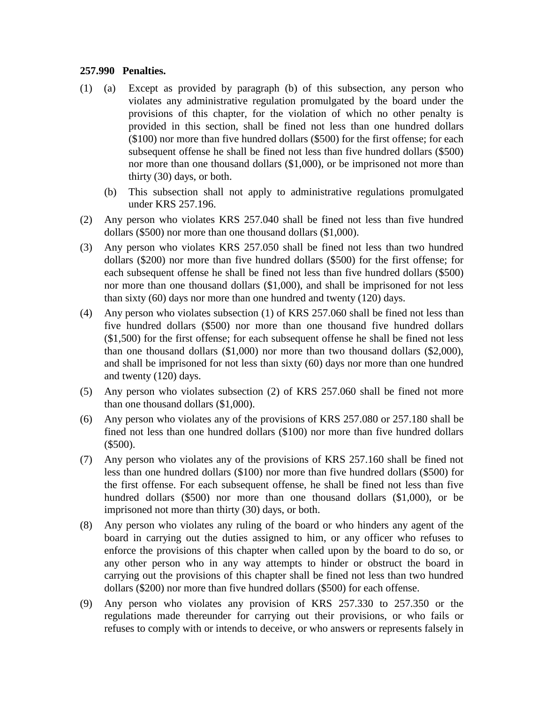## **257.990 Penalties.**

- (1) (a) Except as provided by paragraph (b) of this subsection, any person who violates any administrative regulation promulgated by the board under the provisions of this chapter, for the violation of which no other penalty is provided in this section, shall be fined not less than one hundred dollars (\$100) nor more than five hundred dollars (\$500) for the first offense; for each subsequent offense he shall be fined not less than five hundred dollars (\$500) nor more than one thousand dollars (\$1,000), or be imprisoned not more than thirty (30) days, or both.
	- (b) This subsection shall not apply to administrative regulations promulgated under KRS 257.196.
- (2) Any person who violates KRS 257.040 shall be fined not less than five hundred dollars (\$500) nor more than one thousand dollars (\$1,000).
- (3) Any person who violates KRS 257.050 shall be fined not less than two hundred dollars (\$200) nor more than five hundred dollars (\$500) for the first offense; for each subsequent offense he shall be fined not less than five hundred dollars (\$500) nor more than one thousand dollars (\$1,000), and shall be imprisoned for not less than sixty (60) days nor more than one hundred and twenty (120) days.
- (4) Any person who violates subsection (1) of KRS 257.060 shall be fined not less than five hundred dollars (\$500) nor more than one thousand five hundred dollars (\$1,500) for the first offense; for each subsequent offense he shall be fined not less than one thousand dollars (\$1,000) nor more than two thousand dollars (\$2,000), and shall be imprisoned for not less than sixty (60) days nor more than one hundred and twenty (120) days.
- (5) Any person who violates subsection (2) of KRS 257.060 shall be fined not more than one thousand dollars (\$1,000).
- (6) Any person who violates any of the provisions of KRS 257.080 or 257.180 shall be fined not less than one hundred dollars (\$100) nor more than five hundred dollars (\$500).
- (7) Any person who violates any of the provisions of KRS 257.160 shall be fined not less than one hundred dollars (\$100) nor more than five hundred dollars (\$500) for the first offense. For each subsequent offense, he shall be fined not less than five hundred dollars (\$500) nor more than one thousand dollars (\$1,000), or be imprisoned not more than thirty (30) days, or both.
- (8) Any person who violates any ruling of the board or who hinders any agent of the board in carrying out the duties assigned to him, or any officer who refuses to enforce the provisions of this chapter when called upon by the board to do so, or any other person who in any way attempts to hinder or obstruct the board in carrying out the provisions of this chapter shall be fined not less than two hundred dollars (\$200) nor more than five hundred dollars (\$500) for each offense.
- (9) Any person who violates any provision of KRS 257.330 to 257.350 or the regulations made thereunder for carrying out their provisions, or who fails or refuses to comply with or intends to deceive, or who answers or represents falsely in